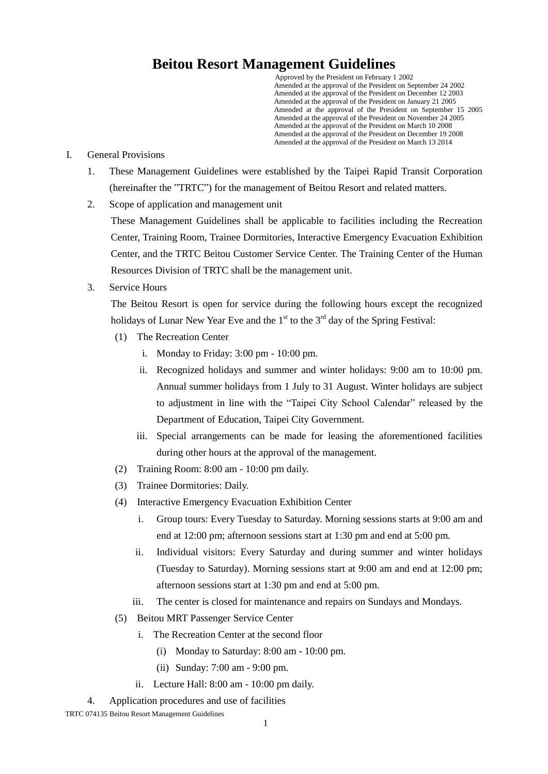## **Beitou Resort Management Guidelines**

Approved by the President on February 1 2002 Amended at the approval of the President on September 24 2002 Amended at the approval of the President on December 12 2003 Amended at the approval of the President on January 21 2005 Amended at the approval of the President on September 15 2005 Amended at the approval of the President on November 24 2005 Amended at the approval of the President on March 10 2008 Amended at the approval of the President on December 19 2008 Amended at the approval of the President on March 13 2014

## I. General Provisions

- 1. These Management Guidelines were established by the Taipei Rapid Transit Corporation (hereinafter the "TRTC") for the management of Beitou Resort and related matters.
- 2. Scope of application and management unit

These Management Guidelines shall be applicable to facilities including the Recreation Center, Training Room, Trainee Dormitories, Interactive Emergency Evacuation Exhibition Center, and the TRTC Beitou Customer Service Center. The Training Center of the Human Resources Division of TRTC shall be the management unit.

3. Service Hours

The Beitou Resort is open for service during the following hours except the recognized holidays of Lunar New Year Eve and the  $1<sup>st</sup>$  to the  $3<sup>rd</sup>$  day of the Spring Festival:

- (1) The Recreation Center
	- i. Monday to Friday: 3:00 pm 10:00 pm.
	- ii. Recognized holidays and summer and winter holidays: 9:00 am to 10:00 pm. Annual summer holidays from 1 July to 31 August. Winter holidays are subject to adjustment in line with the "Taipei City School Calendar" released by the Department of Education, Taipei City Government.
	- iii. Special arrangements can be made for leasing the aforementioned facilities during other hours at the approval of the management.
- (2) Training Room: 8:00 am 10:00 pm daily.
- (3) Trainee Dormitories: Daily.
- (4) Interactive Emergency Evacuation Exhibition Center
	- i. Group tours: Every Tuesday to Saturday. Morning sessions starts at 9:00 am and end at 12:00 pm; afternoon sessions start at 1:30 pm and end at 5:00 pm.
	- ii. Individual visitors: Every Saturday and during summer and winter holidays (Tuesday to Saturday). Morning sessions start at 9:00 am and end at 12:00 pm; afternoon sessions start at 1:30 pm and end at 5:00 pm.
	- iii. The center is closed for maintenance and repairs on Sundays and Mondays.
- (5) Beitou MRT Passenger Service Center
	- i. The Recreation Center at the second floor
		- (i) Monday to Saturday: 8:00 am 10:00 pm.
		- (ii) Sunday: 7:00 am 9:00 pm.
	- ii. Lecture Hall: 8:00 am 10:00 pm daily.
- 4. Application procedures and use of facilities

TRTC 074135 Beitou Resort Management Guidelines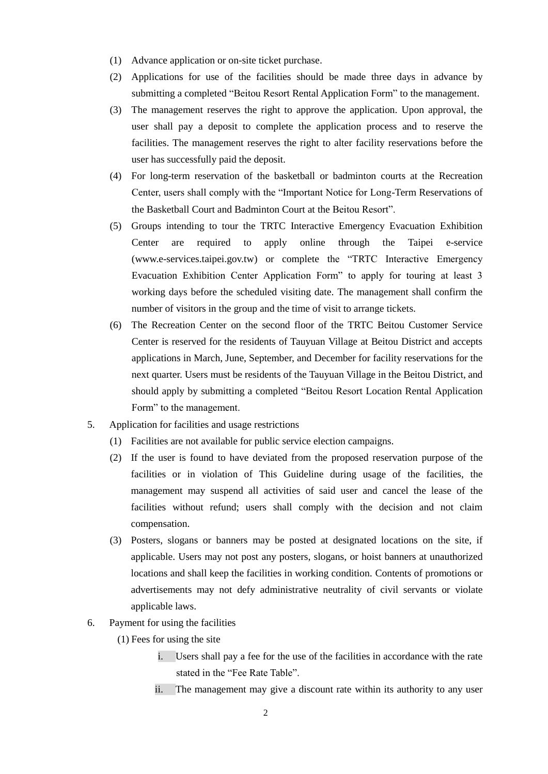- (1) Advance application or on-site ticket purchase.
- (2) Applications for use of the facilities should be made three days in advance by submitting a completed "Beitou Resort Rental Application Form" to the management.
- (3) The management reserves the right to approve the application. Upon approval, the user shall pay a deposit to complete the application process and to reserve the facilities. The management reserves the right to alter facility reservations before the user has successfully paid the deposit.
- (4) For long-term reservation of the basketball or badminton courts at the Recreation Center, users shall comply with the "Important Notice for Long-Term Reservations of the Basketball Court and Badminton Court at the Beitou Resort".
- (5) Groups intending to tour the TRTC Interactive Emergency Evacuation Exhibition Center are required to apply online through the Taipei e-service [\(www.e-services.taipei.gov.tw\)](http://www.e-services.taipei.gov.tw/) or complete the "TRTC Interactive Emergency Evacuation Exhibition Center Application Form" to apply for touring at least 3 working days before the scheduled visiting date. The management shall confirm the number of visitors in the group and the time of visit to arrange tickets.
- (6) The Recreation Center on the second floor of the TRTC Beitou Customer Service Center is reserved for the residents of Tauyuan Village at Beitou District and accepts applications in March, June, September, and December for facility reservations for the next quarter. Users must be residents of the Tauyuan Village in the Beitou District, and should apply by submitting a completed "Beitou Resort Location Rental Application Form" to the management.
- 5. Application for facilities and usage restrictions
	- (1) Facilities are not available for public service election campaigns.
	- (2) If the user is found to have deviated from the proposed reservation purpose of the facilities or in violation of This Guideline during usage of the facilities, the management may suspend all activities of said user and cancel the lease of the facilities without refund; users shall comply with the decision and not claim compensation.
	- (3) Posters, slogans or banners may be posted at designated locations on the site, if applicable. Users may not post any posters, slogans, or hoist banners at unauthorized locations and shall keep the facilities in working condition. Contents of promotions or advertisements may not defy administrative neutrality of civil servants or violate applicable laws.
- 6. Payment for using the facilities
	- (1) Fees for using the site
		- i. Users shall pay a fee for the use of the facilities in accordance with the rate stated in the "Fee Rate Table".
		- ii. The management may give a discount rate within its authority to any user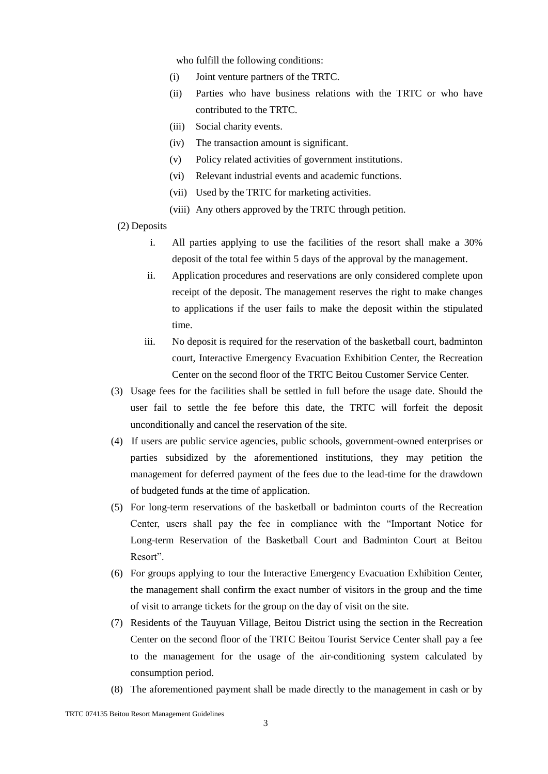who fulfill the following conditions:

- (i) Joint venture partners of the TRTC.
- (ii) Parties who have business relations with the TRTC or who have contributed to the TRTC.
- (iii) Social charity events.
- (iv) The transaction amount is significant.
- (v) Policy related activities of government institutions.
- (vi) Relevant industrial events and academic functions.
- (vii) Used by the TRTC for marketing activities.
- (viii) Any others approved by the TRTC through petition.

(2) Deposits

- i. All parties applying to use the facilities of the resort shall make a 30% deposit of the total fee within 5 days of the approval by the management.
- ii. Application procedures and reservations are only considered complete upon receipt of the deposit. The management reserves the right to make changes to applications if the user fails to make the deposit within the stipulated time.
- iii. No deposit is required for the reservation of the basketball court, badminton court, Interactive Emergency Evacuation Exhibition Center, the Recreation Center on the second floor of the TRTC Beitou Customer Service Center.
- (3) Usage fees for the facilities shall be settled in full before the usage date. Should the user fail to settle the fee before this date, the TRTC will forfeit the deposit unconditionally and cancel the reservation of the site.
- (4) If users are public service agencies, public schools, government-owned enterprises or parties subsidized by the aforementioned institutions, they may petition the management for deferred payment of the fees due to the lead-time for the drawdown of budgeted funds at the time of application.
- (5) For long-term reservations of the basketball or badminton courts of the Recreation Center, users shall pay the fee in compliance with the "Important Notice for Long-term Reservation of the Basketball Court and Badminton Court at Beitou Resort".
- (6) For groups applying to tour the Interactive Emergency Evacuation Exhibition Center, the management shall confirm the exact number of visitors in the group and the time of visit to arrange tickets for the group on the day of visit on the site.
- (7) Residents of the Tauyuan Village, Beitou District using the section in the Recreation Center on the second floor of the TRTC Beitou Tourist Service Center shall pay a fee to the management for the usage of the air-conditioning system calculated by consumption period.
- (8) The aforementioned payment shall be made directly to the management in cash or by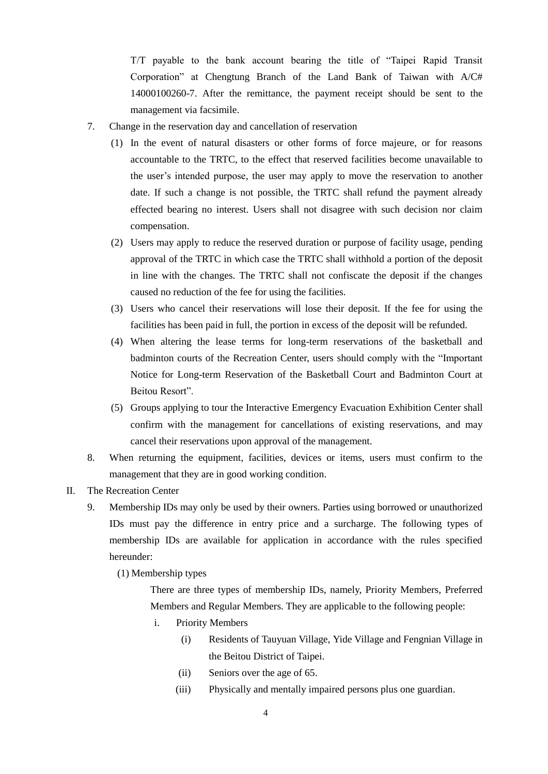T/T payable to the bank account bearing the title of "Taipei Rapid Transit Corporation" at Chengtung Branch of the Land Bank of Taiwan with A/C# 14000100260-7. After the remittance, the payment receipt should be sent to the management via facsimile.

- 7. Change in the reservation day and cancellation of reservation
	- (1) In the event of natural disasters or other forms of force majeure, or for reasons accountable to the TRTC, to the effect that reserved facilities become unavailable to the user's intended purpose, the user may apply to move the reservation to another date. If such a change is not possible, the TRTC shall refund the payment already effected bearing no interest. Users shall not disagree with such decision nor claim compensation.
	- (2) Users may apply to reduce the reserved duration or purpose of facility usage, pending approval of the TRTC in which case the TRTC shall withhold a portion of the deposit in line with the changes. The TRTC shall not confiscate the deposit if the changes caused no reduction of the fee for using the facilities.
	- (3) Users who cancel their reservations will lose their deposit. If the fee for using the facilities has been paid in full, the portion in excess of the deposit will be refunded.
	- (4) When altering the lease terms for long-term reservations of the basketball and badminton courts of the Recreation Center, users should comply with the "Important Notice for Long-term Reservation of the Basketball Court and Badminton Court at Beitou Resort".
	- (5) Groups applying to tour the Interactive Emergency Evacuation Exhibition Center shall confirm with the management for cancellations of existing reservations, and may cancel their reservations upon approval of the management.
- 8. When returning the equipment, facilities, devices or items, users must confirm to the management that they are in good working condition.
- II. The Recreation Center
	- 9. Membership IDs may only be used by their owners. Parties using borrowed or unauthorized IDs must pay the difference in entry price and a surcharge. The following types of membership IDs are available for application in accordance with the rules specified hereunder:
		- (1) Membership types

There are three types of membership IDs, namely, Priority Members, Preferred Members and Regular Members. They are applicable to the following people:

- i. Priority Members
	- (i) Residents of Tauyuan Village, Yide Village and Fengnian Village in the Beitou District of Taipei.
	- (ii) Seniors over the age of 65.
	- (iii) Physically and mentally impaired persons plus one guardian.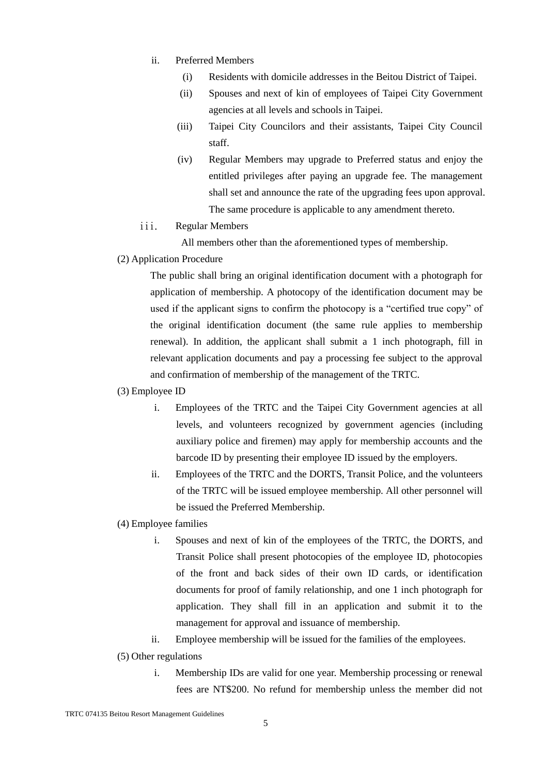- ii. Preferred Members
	- (i) Residents with domicile addresses in the Beitou District of Taipei.
	- (ii) Spouses and next of kin of employees of Taipei City Government agencies at all levels and schools in Taipei.
	- (iii) Taipei City Councilors and their assistants, Taipei City Council staff.
	- (iv) Regular Members may upgrade to Preferred status and enjoy the entitled privileges after paying an upgrade fee. The management shall set and announce the rate of the upgrading fees upon approval. The same procedure is applicable to any amendment thereto.
- iii. Regular Members

All members other than the aforementioned types of membership.

(2) Application Procedure

The public shall bring an original identification document with a photograph for application of membership. A photocopy of the identification document may be used if the applicant signs to confirm the photocopy is a "certified true copy" of the original identification document (the same rule applies to membership renewal). In addition, the applicant shall submit a 1 inch photograph, fill in relevant application documents and pay a processing fee subject to the approval and confirmation of membership of the management of the TRTC.

- (3) Employee ID
	- i. Employees of the TRTC and the Taipei City Government agencies at all levels, and volunteers recognized by government agencies (including auxiliary police and firemen) may apply for membership accounts and the barcode ID by presenting their employee ID issued by the employers.
	- ii. Employees of the TRTC and the DORTS, Transit Police, and the volunteers of the TRTC will be issued employee membership. All other personnel will be issued the Preferred Membership.
- (4) Employee families
	- i. Spouses and next of kin of the employees of the TRTC, the DORTS, and Transit Police shall present photocopies of the employee ID, photocopies of the front and back sides of their own ID cards, or identification documents for proof of family relationship, and one 1 inch photograph for application. They shall fill in an application and submit it to the management for approval and issuance of membership.
	- ii. Employee membership will be issued for the families of the employees.
- (5) Other regulations
	- i. Membership IDs are valid for one year. Membership processing or renewal fees are NT\$200. No refund for membership unless the member did not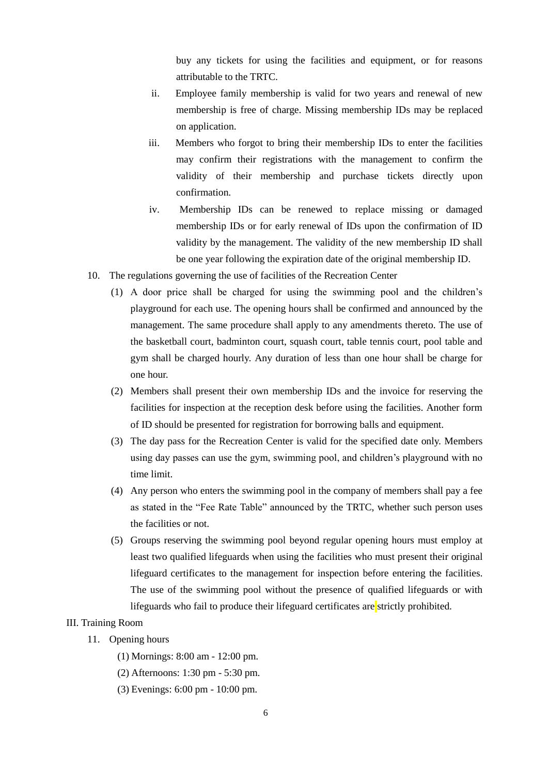buy any tickets for using the facilities and equipment, or for reasons attributable to the TRTC.

- ii. Employee family membership is valid for two years and renewal of new membership is free of charge. Missing membership IDs may be replaced on application.
- iii. Members who forgot to bring their membership IDs to enter the facilities may confirm their registrations with the management to confirm the validity of their membership and purchase tickets directly upon confirmation.
- iv. Membership IDs can be renewed to replace missing or damaged membership IDs or for early renewal of IDs upon the confirmation of ID validity by the management. The validity of the new membership ID shall be one year following the expiration date of the original membership ID.
- 10. The regulations governing the use of facilities of the Recreation Center
	- (1) A door price shall be charged for using the swimming pool and the children's playground for each use. The opening hours shall be confirmed and announced by the management. The same procedure shall apply to any amendments thereto. The use of the basketball court, badminton court, squash court, table tennis court, pool table and gym shall be charged hourly. Any duration of less than one hour shall be charge for one hour.
	- (2) Members shall present their own membership IDs and the invoice for reserving the facilities for inspection at the reception desk before using the facilities. Another form of ID should be presented for registration for borrowing balls and equipment.
	- (3) The day pass for the Recreation Center is valid for the specified date only. Members using day passes can use the gym, swimming pool, and children's playground with no time limit.
	- (4) Any person who enters the swimming pool in the company of members shall pay a fee as stated in the "Fee Rate Table" announced by the TRTC, whether such person uses the facilities or not.
	- (5) Groups reserving the swimming pool beyond regular opening hours must employ at least two qualified lifeguards when using the facilities who must present their original lifeguard certificates to the management for inspection before entering the facilities. The use of the swimming pool without the presence of qualified lifeguards or with lifeguards who fail to produce their lifeguard certificates are strictly prohibited.

## III. Training Room

- 11. Opening hours
	- (1) Mornings: 8:00 am 12:00 pm.
	- (2) Afternoons: 1:30 pm 5:30 pm.
	- (3) Evenings: 6:00 pm 10:00 pm.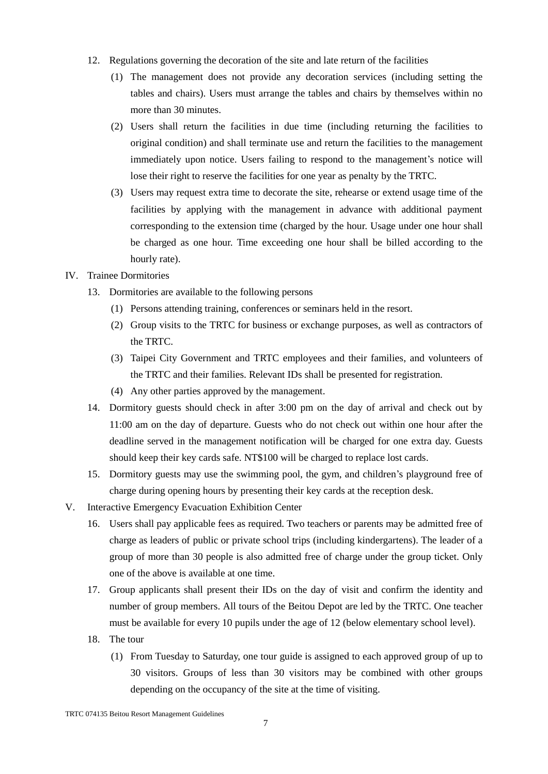- 12. Regulations governing the decoration of the site and late return of the facilities
	- (1) The management does not provide any decoration services (including setting the tables and chairs). Users must arrange the tables and chairs by themselves within no more than 30 minutes.
	- (2) Users shall return the facilities in due time (including returning the facilities to original condition) and shall terminate use and return the facilities to the management immediately upon notice. Users failing to respond to the management's notice will lose their right to reserve the facilities for one year as penalty by the TRTC.
	- (3) Users may request extra time to decorate the site, rehearse or extend usage time of the facilities by applying with the management in advance with additional payment corresponding to the extension time (charged by the hour. Usage under one hour shall be charged as one hour. Time exceeding one hour shall be billed according to the hourly rate).
- IV. Trainee Dormitories
	- 13. Dormitories are available to the following persons
		- (1) Persons attending training, conferences or seminars held in the resort.
		- (2) Group visits to the TRTC for business or exchange purposes, as well as contractors of the TRTC.
		- (3) Taipei City Government and TRTC employees and their families, and volunteers of the TRTC and their families. Relevant IDs shall be presented for registration.
		- (4) Any other parties approved by the management.
	- 14. Dormitory guests should check in after 3:00 pm on the day of arrival and check out by 11:00 am on the day of departure. Guests who do not check out within one hour after the deadline served in the management notification will be charged for one extra day. Guests should keep their key cards safe. NT\$100 will be charged to replace lost cards.
	- 15. Dormitory guests may use the swimming pool, the gym, and children's playground free of charge during opening hours by presenting their key cards at the reception desk.
- V. Interactive Emergency Evacuation Exhibition Center
	- 16. Users shall pay applicable fees as required. Two teachers or parents may be admitted free of charge as leaders of public or private school trips (including kindergartens). The leader of a group of more than 30 people is also admitted free of charge under the group ticket. Only one of the above is available at one time.
	- 17. Group applicants shall present their IDs on the day of visit and confirm the identity and number of group members. All tours of the Beitou Depot are led by the TRTC. One teacher must be available for every 10 pupils under the age of 12 (below elementary school level).
	- 18. The tour
		- (1) From Tuesday to Saturday, one tour guide is assigned to each approved group of up to 30 visitors. Groups of less than 30 visitors may be combined with other groups depending on the occupancy of the site at the time of visiting.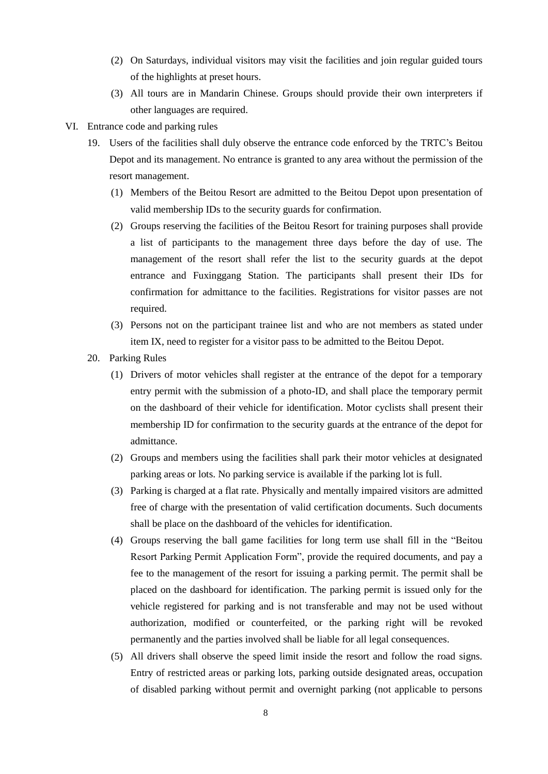- (2) On Saturdays, individual visitors may visit the facilities and join regular guided tours of the highlights at preset hours.
- (3) All tours are in Mandarin Chinese. Groups should provide their own interpreters if other languages are required.
- VI. Entrance code and parking rules
	- 19. Users of the facilities shall duly observe the entrance code enforced by the TRTC's Beitou Depot and its management. No entrance is granted to any area without the permission of the resort management.
		- (1) Members of the Beitou Resort are admitted to the Beitou Depot upon presentation of valid membership IDs to the security guards for confirmation.
		- (2) Groups reserving the facilities of the Beitou Resort for training purposes shall provide a list of participants to the management three days before the day of use. The management of the resort shall refer the list to the security guards at the depot entrance and Fuxinggang Station. The participants shall present their IDs for confirmation for admittance to the facilities. Registrations for visitor passes are not required.
		- (3) Persons not on the participant trainee list and who are not members as stated under item IX, need to register for a visitor pass to be admitted to the Beitou Depot.
	- 20. Parking Rules
		- (1) Drivers of motor vehicles shall register at the entrance of the depot for a temporary entry permit with the submission of a photo-ID, and shall place the temporary permit on the dashboard of their vehicle for identification. Motor cyclists shall present their membership ID for confirmation to the security guards at the entrance of the depot for admittance.
		- (2) Groups and members using the facilities shall park their motor vehicles at designated parking areas or lots. No parking service is available if the parking lot is full.
		- (3) Parking is charged at a flat rate. Physically and mentally impaired visitors are admitted free of charge with the presentation of valid certification documents. Such documents shall be place on the dashboard of the vehicles for identification.
		- (4) Groups reserving the ball game facilities for long term use shall fill in the "Beitou Resort Parking Permit Application Form", provide the required documents, and pay a fee to the management of the resort for issuing a parking permit. The permit shall be placed on the dashboard for identification. The parking permit is issued only for the vehicle registered for parking and is not transferable and may not be used without authorization, modified or counterfeited, or the parking right will be revoked permanently and the parties involved shall be liable for all legal consequences.
		- (5) All drivers shall observe the speed limit inside the resort and follow the road signs. Entry of restricted areas or parking lots, parking outside designated areas, occupation of disabled parking without permit and overnight parking (not applicable to persons